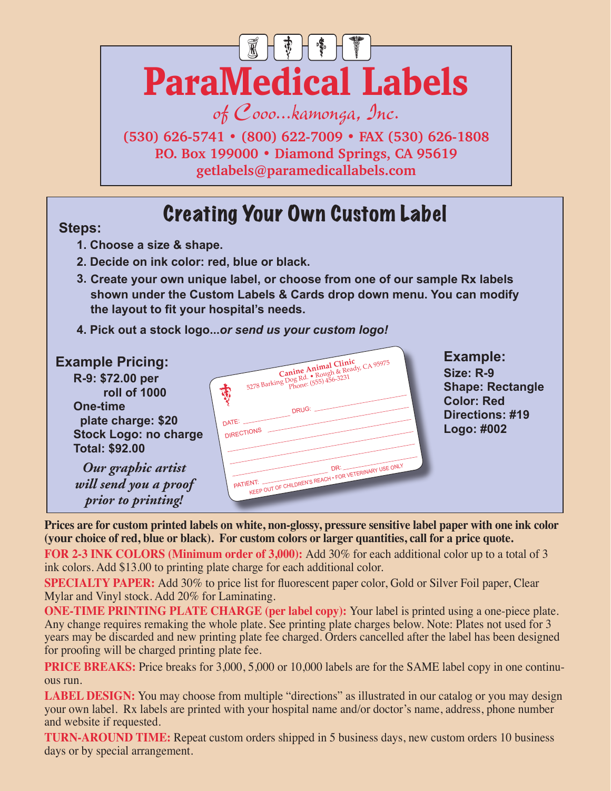

of Cooo...kamonga, Inc.

**(530) 626-5741 • (800) 622-7009 • FAX (530) 626-1808 P.O. Box 199000 • Diamond Springs, CA 95619 getlabels@paramedicallabels.com**

## Creating Your Own Custom Label **Steps:**

- **1. Choose a size & shape.**
- **2. Decide on ink color: red, blue or black.**
- **3. Create your own unique label, or choose from one of our sample Rx labels shown under the Custom Labels & Cards drop down menu. You can modify the layout to fit your hospital's needs.**
- **4. Pick out a stock logo...***or send us your custom logo!*



**Prices are for custom printed labels on white, non-glossy, pressure sensitive label paper with one ink color (your choice of red, blue or black). For custom colors or larger quantities, call for a price quote.**

**FOR 2-3 INK COLORS (Minimum order of 3,000):** Add 30% for each additional color up to a total of 3 ink colors. Add \$13.00 to printing plate charge for each additional color.

**SPECIALTY PAPER:** Add 30% to price list for fluorescent paper color, Gold or Silver Foil paper, Clear Mylar and Vinyl stock. Add 20% for Laminating.

**ONE-TIME PRINTING PLATE CHARGE (per label copy):** Your label is printed using a one-piece plate. Any change requires remaking the whole plate. See printing plate charges below. Note: Plates not used for 3 years may be discarded and new printing plate fee charged. Orders cancelled after the label has been designed for proofing will be charged printing plate fee.

**PRICE BREAKS:** Price breaks for 3,000, 5,000 or 10,000 labels are for the SAME label copy in one continuous run.

**LABEL DESIGN:** You may choose from multiple "directions" as illustrated in our catalog or you may design your own label. Rx labels are printed with your hospital name and/or doctor's name, address, phone number and website if requested.

**TURN-AROUND TIME:** Repeat custom orders shipped in 5 business days, new custom orders 10 business days or by special arrangement.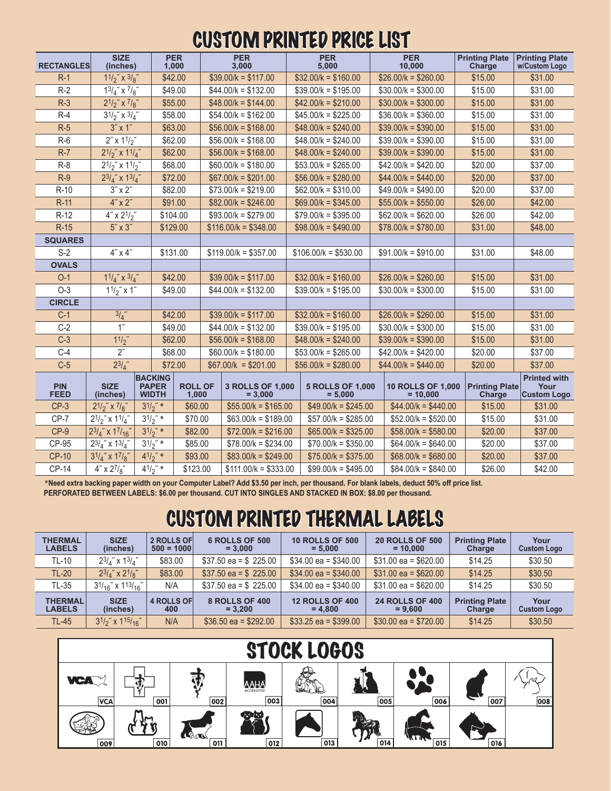## CUSTOM PRINTED PRICE LIST

| <b>RECTANGLES</b>         | <b>SIZE</b><br>(inches)                          |                                                | <b>PER</b><br>1,000   |                         | <b>PER</b><br>3,000   |                                      | <b>PER</b><br>5,000  |                                      | <b>PER</b><br>10,000 |                                        | <b>Printing Plate</b><br>Charge | <b>Printing Plate</b><br>w/Custom Logo            |
|---------------------------|--------------------------------------------------|------------------------------------------------|-----------------------|-------------------------|-----------------------|--------------------------------------|----------------------|--------------------------------------|----------------------|----------------------------------------|---------------------------------|---------------------------------------------------|
| $R-1$                     | $11/2$ " x $3/8$ "                               |                                                |                       | \$42.00                 |                       | $$39.00/k = $117.00$                 |                      | $$32.00/k = $160.00$                 |                      | $$26.00/k = $260.00$                   | \$15.00                         | \$31.00                                           |
| $R-2$                     | $13/4$ " x $7/8$ "                               | \$49.00                                        |                       |                         |                       | $$44.00/k = $132.00$                 |                      | $$39.00/k = $195.00$                 |                      | $$30.00/k = $300.00$                   | \$15.00                         | \$31.00                                           |
| $R-3$                     | $2^{1/2}$ " x $^{7/2}$ "                         |                                                |                       | \$55.00                 |                       | $$48.00/k = $144.00$                 |                      | $$42.00/k = $210.00$                 |                      | $$30.00/k = $300.00$                   | \$15.00                         | \$31.00                                           |
| $R-4$                     | $3^{1/2}$ " x $3/4$ "                            |                                                | \$58.00               |                         |                       | $$54.00/k = $162.00$                 |                      | $$45.00/k = $225.00$                 |                      | $$36.00/k = $360.00$                   | \$15.00                         | \$31.00                                           |
| $R-5$                     | $3''$ x 1"                                       |                                                |                       | \$63.00                 |                       | $$56.00/k = $168.00$                 |                      | $$48.00/k = $240.00$                 |                      | $$39.00/k = $390.00$                   | \$15.00                         | \$31.00                                           |
| $R-6$                     |                                                  | $2''$ x $11/2''$                               |                       | \$62.00                 |                       | $$56.00/k = $168.00$                 |                      | $$48.00/k = $240.00$                 |                      | $$39.00/k = $390.00$                   | \$15.00                         | \$31.00                                           |
| $R-7$                     | $2^{1/2}$ x $1^{1/2}$                            |                                                | \$62.00               |                         | $$56.00/k = $168.00$  |                                      | $$48.00/k = $240.00$ |                                      | $$39.00/k = $390.00$ |                                        | \$15.00                         | \$31.00                                           |
| $R-8$                     | $2^{1/2}$ x $1^{1/2}$                            |                                                | \$68.00               |                         | $$60.00/k = $180.00$  |                                      | $$53.00/k = $265.00$ |                                      |                      | $$42.00/k = $420.00$                   | \$20.00                         | \$37.00                                           |
| $R-9$                     | $23/4$ " x $13/4$ "                              |                                                | \$72.00               |                         | $$67.00/k = $201.00$  |                                      | $$56.00/k = $280.00$ |                                      | $$44.00/k = $440.00$ |                                        | \$20.00                         | \$37.00                                           |
| $R-10$                    | $3'' \times 2''$                                 |                                                | \$82.00               |                         | $$73.00/k = $219.00$  |                                      | $$62.00/k = $310.00$ |                                      | $$49.00/k = $490.00$ |                                        | \$20.00                         | \$37.00                                           |
| $R-11$                    | $4" \times 2"$                                   |                                                | \$91.00               |                         | $$82.00/k = $246.00$  |                                      | $$69.00/k = $345.00$ |                                      |                      | $$55.00/k = $550.00$                   | \$26.00                         | \$42.00                                           |
| $R-12$                    | $4'' \times 2^{1/2}$                             |                                                | \$104.00              |                         | $$93.00/k = $279.00$  |                                      | $$79.00/k = $395.00$ |                                      |                      | $$62.00/k = $620.00$                   | \$26.00                         | \$42.00                                           |
| $R-15$                    | $5'' \times 3''$                                 |                                                | \$129.00              |                         | $$116.00/k = $348.00$ |                                      | $$98.00/k = $490.00$ |                                      | $$78.00/k = $780.00$ |                                        | \$31.00                         | \$48.00                                           |
| <b>SQUARES</b>            |                                                  |                                                |                       |                         |                       |                                      |                      |                                      |                      |                                        |                                 |                                                   |
| $S-2$                     | $4" \times 4"$                                   |                                                | \$131.00              |                         |                       | $$119.00/k = $357.00$                |                      | $$106.00/k = $530.00$                |                      | $$91.00/k = $910.00$                   | \$31.00                         | \$48.00                                           |
| <b>OVALS</b>              |                                                  |                                                |                       |                         |                       |                                      |                      |                                      |                      |                                        |                                 |                                                   |
| $O-1$                     | $11/4$ " x $3/4$ "                               |                                                | \$42.00               |                         | $$39.00/k = $117.00$  |                                      | $$32.00/k = $160.00$ |                                      |                      | $$26.00/k = $260.00$                   | \$15.00                         | \$31.00                                           |
| $O-3$                     | $11/2$ " x 1"                                    |                                                | \$49.00               |                         | $$44.00/k = $132.00$  |                                      | $$39.00/k = $195.00$ |                                      |                      | $$30.00/k = $300.00$                   | \$15.00                         | \$31.00                                           |
| <b>CIRCLE</b>             |                                                  |                                                |                       |                         |                       |                                      |                      |                                      |                      |                                        |                                 |                                                   |
| $C-1$                     | 3/4                                              |                                                | \$42.00               |                         | $$39.00/k = $117.00$  |                                      | $$32.00/k = $160.00$ |                                      | $$26.00/k = $260.00$ |                                        | \$15.00                         | \$31.00                                           |
| $C-2$                     | $\overline{1}$                                   |                                                | \$49.00               |                         | $$44.00/k = $132.00$  |                                      | $$39.00/k = $195.00$ |                                      |                      | $$30.00/k = $300.00$                   | \$15.00                         | \$31.00                                           |
| $C-3$                     | 11/2                                             |                                                | \$62.00               |                         | $$56.00/k = $168.00$  |                                      | $$48.00/k = $240.00$ |                                      |                      | $$39.00/k = $390.00$                   | \$15.00                         | \$31.00                                           |
| $C-4$                     | $2^{\prime\prime}$                               |                                                | \$68.00               |                         | $$60.00/k = $180.00$  |                                      | $$53.00/k = $265.00$ |                                      |                      | $$42.00/k = $420.00$                   | \$20.00                         | \$37.00                                           |
| $C-5$                     | $2^{3}/_{4}$ "                                   |                                                | \$72.00               |                         | $$67.00/k = $201.00$  |                                      | $$56.00/k = $280.00$ |                                      |                      | $$44.00/k = $440.00$                   | \$20.00                         | \$37.00                                           |
| <b>PIN</b><br><b>FEED</b> | <b>SIZE</b><br>(inches)                          | <b>BACKING</b><br><b>PAPER</b><br><b>WIDTH</b> |                       | <b>ROLL OF</b><br>1,000 |                       | <b>3 ROLLS OF 1,000</b><br>$= 3,000$ |                      | <b>5 ROLLS OF 1,000</b><br>$= 5,000$ |                      | <b>10 ROLLS OF 1,000</b><br>$= 10.000$ | <b>Printing Plate</b><br>Charge | <b>Printed with</b><br>Your<br><b>Custom Logo</b> |
| $CP-3$                    | $2^{1/2}$ " x $^{7/2}$ "                         | $31/2$ " *                                     |                       | \$60.00                 |                       | $$55.00/k = $165.00$                 |                      | $$49.00/k = $245.00$                 |                      | $$44.00/k = $440.00$                   | \$15.00                         | \$31.00                                           |
| CP-7                      | $2^{1/2}$ " x $1^{1/2}$ "                        | $31/2$ " *                                     |                       | \$70.00                 |                       | $$63.00/k = $189.00$                 |                      | $$57.00/k = $285.00$                 |                      | $$52.00/k = $520.00$                   | \$15.00                         | \$31.00                                           |
| $CP-9$                    | $2^{3}/_{4}$ " x $1^{7}/_{16}$ "                 | $3^{1/2}$ " *                                  |                       | \$82.00                 |                       | $$72.00/k = $216.00$                 |                      | $$65.00/k = $325.00$                 |                      | $$58.00/k = $580.00$                   | \$20.00                         | \$37.00                                           |
| CP-95                     | $3^{1/2}$ " *<br>$2^{3}/_{4}$ " x $1^{3}/_{4}$ " |                                                | \$85.00               |                         |                       | $$78.00/k = $234.00$                 |                      | $$70.00/k = $350.00$                 |                      | $$64.00/k = $640.00$                   | \$20.00                         | \$37.00                                           |
| <b>CP-10</b>              | $3^{1}/_{4}$ " x $1^{7}/_{8}$ "                  |                                                | $41/2$ " *<br>\$93.00 |                         | $$83.00/k = $249.00$  |                                      |                      | $$75.00/k = $375.00$                 |                      | $$68.00/k = $680.00$                   | \$20.00                         | \$37.00                                           |
| <b>CP-14</b>              | $4'' \times 2^{7}/8''$                           | $4^{1/2}$ " *                                  |                       | \$123.00                |                       | $$111.00/k = $333.00$                |                      | $$99.00/k = $495.00$                 |                      | $$84.00/k = $840.00$                   | \$26.00                         | \$42.00                                           |

\***Need extra backing paper width on your Computer Label? Add \$3.50 per inch, per thousand. For blank labels, deduct 50% off price list. PERFORATED BETWEEN LABELS: \$6.00 per thousand. CUT INTO SINGLES AND STACKED IN BOX: \$8.00 per thousand.**

## CUSTOM PRINTED THERMAL LABELS

| <b>THERMAL</b><br><b>LABELS</b> | <b>SIZE</b><br>(inches)         | 2 ROLLS OF<br>$500 = 1000$ | 6 ROLLS OF 500<br>$= 3.000$ | <b>10 ROLLS OF 500</b><br>$= 5.000$ | <b>20 ROLLS OF 500</b><br>$= 10,000$ | <b>Printing Plate</b><br>Charge | Your<br><b>Custom Logo</b> |
|---------------------------------|---------------------------------|----------------------------|-----------------------------|-------------------------------------|--------------------------------------|---------------------------------|----------------------------|
| TL-10                           | $2^{3}/_{4}$ " x $1^{3}/_{4}$ " | \$83.00                    | $$37.50$ ea = \$ 225.00     | $$34.00$ ea = \$340.00              | $$31.00$ ea = \$620.00               | \$14.25                         | \$30.50                    |
| <b>TL-20</b>                    | $2^{3}/_{4}$ " x $2^{1}/_{8}$ " | \$83.00                    | $$37.50$ ea = \$ 225.00     | $$34.00$ ea = $$340.00$             | $$31.00$ ea = \$620.00               | \$14.25                         | \$30.50                    |
| TL-35                           | $31/16$ " x $113/16$ "          | N/A                        | $$37.50$ ea = \$ 225.00     | $$34.00$ ea = \$340.00              | $$31.00$ ea = \$620.00               | \$14.25                         | \$30.50                    |
| <b>THERMAL</b><br><b>LABELS</b> | <b>SIZE</b><br>(inches)         | 4 ROLLS OF<br>400          | 8 ROLLS OF 400<br>$= 3.200$ | <b>12 ROLLS OF 400</b><br>$= 4.800$ | <b>24 ROLLS OF 400</b><br>$= 9.600$  | <b>Printing Plate</b><br>Charge | Your<br><b>Custom Logo</b> |
| TL-45                           | $3^{1/2}$ x $1^{15/16}$         | N/A                        | $$36.50$ ea = \$292.00      | $$33.25$ ea = \$399.00              | $$30.00$ ea = \$720.00               | \$14.25                         | \$30.50                    |

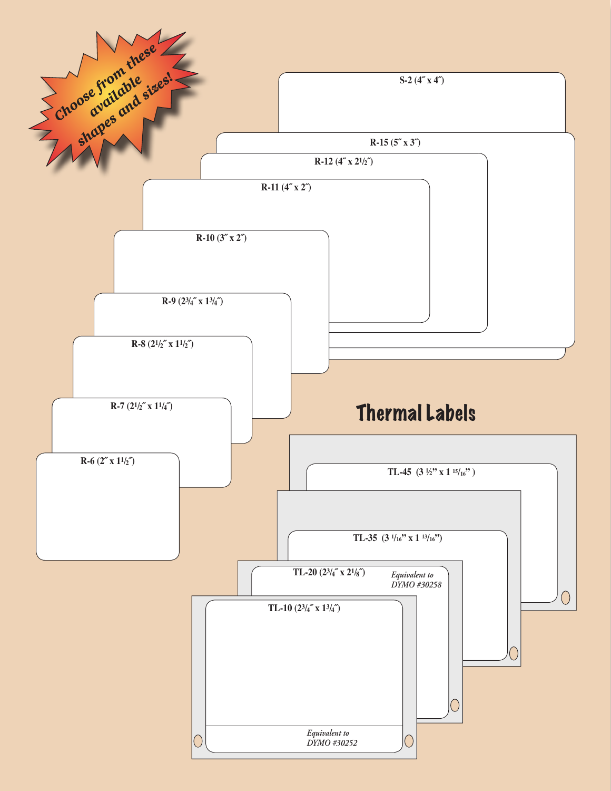